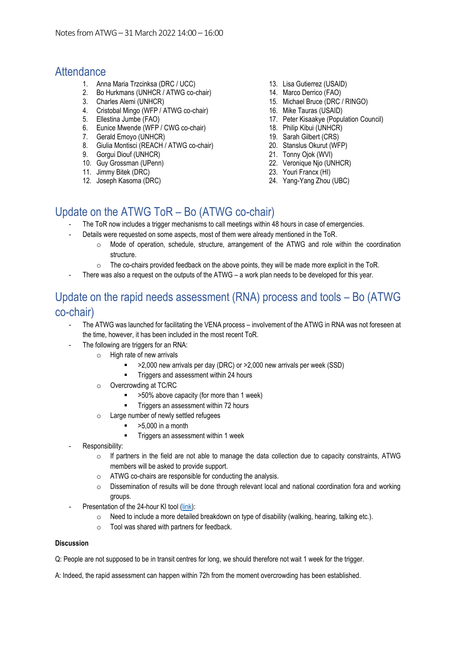### **Attendance**

- 1. Anna Maria Trzcinksa (DRC / UCC)
- 2. Bo Hurkmans (UNHCR / ATWG co-chair)
- 3. Charles Alemi (UNHCR)
- 4. Cristobal Mingo (WFP / ATWG co-chair)
- 5. Ellestina Jumbe (FAO)
- 6. Eunice Mwende (WFP / CWG co-chair)
- 7. Gerald Emoyo (UNHCR)
- 8. Giulia Montisci (REACH / ATWG co-chair)
- 9. Gorgui Diouf (UNHCR)
- 10. Guy Grossman (UPenn)
- 11. Jimmy Bitek (DRC)
- 12. Joseph Kasoma (DRC)
- 13. Lisa Gutierrez (USAID)
- 14. Marco Derrico (FAO)
- 15. Michael Bruce (DRC / RINGO)
- 16. Mike Tauras (USAID)
- 17. Peter Kisaakye (Population Council)
- 18. Philip Kibui (UNHCR)
	- 19. Sarah Gilbert (CRS)
	- 20. Stanslus Okurut (WFP)
	- 21. Tonny Ojok (WVI)
	- 22. Veronique Njo (UNHCR)
	- 23. Youri Francx (HI)
	- 24. Yang-Yang Zhou (UBC)

## Update on the ATWG ToR – Bo (ATWG co-chair)

- The ToR now includes a trigger mechanisms to call meetings within 48 hours in case of emergencies.
- Details were requested on some aspects, most of them were already mentioned in the ToR.
	- o Mode of operation, schedule, structure, arrangement of the ATWG and role within the coordination structure.
	- $\circ$  The co-chairs provided feedback on the above points, they will be made more explicit in the ToR.
- There was also a request on the outputs of the ATWG a work plan needs to be developed for this year.

## Update on the rapid needs assessment (RNA) process and tools – Bo (ATWG co-chair)

- The ATWG was launched for facilitating the VENA process involvement of the ATWG in RNA was not foreseen at the time, however, it has been included in the most recent ToR.
- The following are triggers for an RNA:
	- o High rate of new arrivals
		- >2,000 new arrivals per day (DRC) or >2,000 new arrivals per week (SSD)
		- **■** Triggers and assessment within 24 hours
	- o Overcrowding at TC/RC
		- >50% above capacity (for more than 1 week)
		- **■** Triggers an assessment within 72 hours
	- o Large number of newly settled refugees
		- $>$  5.000 in a month
			- Triggers an assessment within 1 week
- Responsibility:
	- o If partners in the field are not able to manage the data collection due to capacity constraints, ATWG members will be asked to provide support.
	- o ATWG co-chairs are responsible for conducting the analysis.
	- o Dissemination of results will be done through relevant local and national coordination fora and working groups.
	- Presentation of the 24-hour KI tool [\(link\)](https://enketo.unhcr.org/x/cz0O99sG):
		- o Need to include a more detailed breakdown on type of disability (walking, hearing, talking etc.).
		- o Tool was shared with partners for feedback.

### **Discussion**

Q: People are not supposed to be in transit centres for long, we should therefore not wait 1 week for the trigger.

A: Indeed, the rapid assessment can happen within 72h from the moment overcrowding has been established.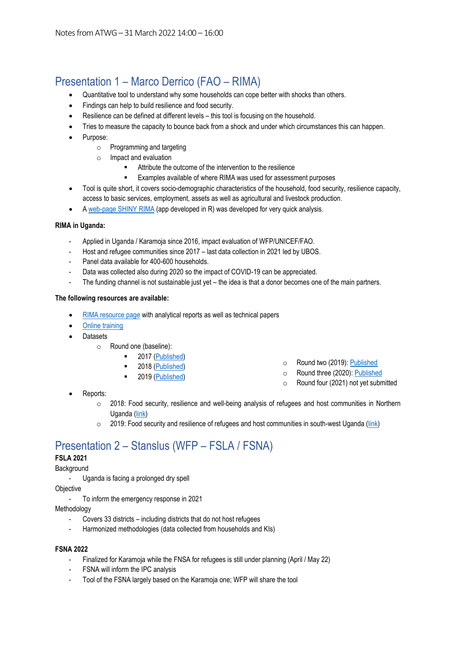# Presentation 1 – Marco Derrico (FAO – RIMA)

- Quantitative tool to understand why some households can cope better with shocks than others.
- Findings can help to build resilience and food security.
- Resilience can be defined at different levels this tool is focusing on the household.
- Tries to measure the capacity to bounce back from a shock and under which circumstances this can happen.
- Purpose:
	- o Programming and targeting
	- o Impact and evaluation
		- Attribute the outcome of the intervention to the resilience
		- Examples available of where RIMA was used for assessment purposes
- Tool is quite short, it covers socio-demographic characteristics of the household, food security, resilience capacity, access to basic services, employment, assets as well as agricultural and livestock production.
- A web-page [SHINY RIMA](https://faorima.shinyapps.io/RIMA-II/) (app developed in R) was developed for very quick analysis.

### **RIMA in Uganda:**

- Applied in Uganda / Karamoja since 2016, impact evaluation of WFP/UNICEF/FAO.
- Host and refugee communities since 2017 last data collection in 2021 led by UBOS.
- Panel data available for 400-600 households.
- Data was collected also during 2020 so the impact of COVID-19 can be appreciated.
- The funding channel is not sustainable just yet the idea is that a donor becomes one of the main partners.

### **The following resources are available:**

- [RIMA resource page](https://www.fao.org/resilience/background/tools/rima/en/) with analytical reports as well as technical papers
- [Online training](https://elearning.fao.org/course/view.php?id=747)
- Datasets
	- o Round one (baseline):
		- 2017 [\(Published\)](https://microdata.fao.org/index.php/catalog/1845)
		- 2018 [\(Published\)](https://microdata.fao.org/index.php/catalog/1844)
		- 2019 [\(Published\)](https://microdata.fao.org/index.php/catalog/2062)
- o Round two (2019): [Published](https://microdata.fao.org/index.php/catalog/2061)
- o Round three (2020): [Published](https://microdata.fao.org/index.php/catalog/2063)
- o Round four (2021) not yet submitted

- Reports:
	- o 2018: Food security, resilience and well-being analysis of refugees and host communities in Northern Uganda [\(link\)](https://www.fao.org/resilience/resources/resources-detail/en/c/1143820/)
	- $\circ$  2019: Food security and resilience of refugees and host communities in south-west Uganda [\(link\)](https://www.fao.org/agrifood-economics/publications/detail/en/c/1208530/)

## Presentation 2 – Stanslus (WFP – FSLA / FSNA)

### **FSLA 2021**

### **Background**

- Uganda is facing a prolonged dry spell

**Objective** 

To inform the emergency response in 2021

Methodology

- Covers 33 districts including districts that do not host refugees
- Harmonized methodologies (data collected from households and KIs)

#### **FSNA 2022**

- Finalized for Karamoja while the FNSA for refugees is still under planning (April / May 22)
- FSNA will inform the IPC analysis
- Tool of the FSNA largely based on the Karamoja one; WFP will share the tool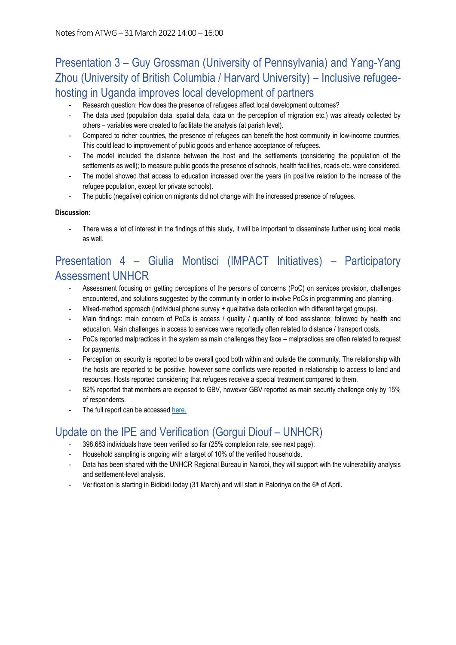# Presentation 3 – Guy Grossman (University of Pennsylvania) and Yang-Yang Zhou (University of British Columbia / Harvard University) – Inclusive refugeehosting in Uganda improves local development of partners

- Research question: How does the presence of refugees affect local development outcomes?
- The data used (population data, spatial data, data on the perception of migration etc.) was already collected by others – variables were created to facilitate the analysis (at parish level).
- Compared to richer countries, the presence of refugees can benefit the host community in low-income countries. This could lead to improvement of public goods and enhance acceptance of refugees.
- The model included the distance between the host and the settlements (considering the population of the settlements as well); to measure public goods the presence of schools, health facilities, roads etc. were considered.
- The model showed that access to education increased over the years (in positive relation to the increase of the refugee population, except for private schools).
- The public (negative) opinion on migrants did not change with the increased presence of refugees.

### **Discussion:**

There was a lot of interest in the findings of this study, it will be important to disseminate further using local media as well.

## Presentation 4 – Giulia Montisci (IMPACT Initiatives) – Participatory Assessment UNHCR

- Assessment focusing on getting perceptions of the persons of concerns (PoC) on services provision, challenges encountered, and solutions suggested by the community in order to involve PoCs in programming and planning.
- Mixed-method approach (individual phone survey + qualitative data collection with different target groups).
- Main findings: main concern of PoCs is access / quality / quantity of food assistance; followed by health and education. Main challenges in access to services were reportedly often related to distance / transport costs.
- PoCs reported malpractices in the system as main challenges they face malpractices are often related to request for payments.
- Perception on security is reported to be overall good both within and outside the community. The relationship with the hosts are reported to be positive, however some conflicts were reported in relationship to access to land and resources. Hosts reported considering that refugees receive a special treatment compared to them.
- 82% reported that members are exposed to GBV, however GBV reported as main security challenge only by 15% of respondents.
- The full report can be accesse[d here.](https://data2.unhcr.org/en/documents/details/91532)

## Update on the IPE and Verification (Gorgui Diouf – UNHCR)

- 398,683 individuals have been verified so far (25% completion rate, see next page).
- Household sampling is ongoing with a target of 10% of the verified households.
- Data has been shared with the UNHCR Regional Bureau in Nairobi, they will support with the vulnerability analysis and settlement-level analysis.
- Verification is starting in Bidibidi today (31 March) and will start in Palorinya on the 6<sup>th</sup> of April.